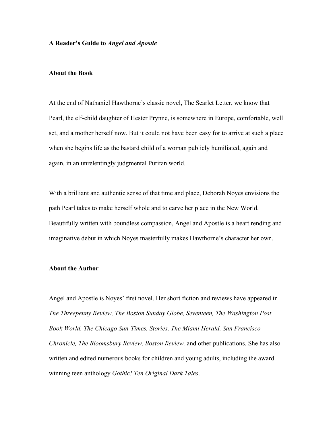# **A Reader's Guide to** *Angel and Apostle*

# **About the Book**

At the end of Nathaniel Hawthorne's classic novel, The Scarlet Letter, we know that Pearl, the elf-child daughter of Hester Prynne, is somewhere in Europe, comfortable, well set, and a mother herself now. But it could not have been easy for to arrive at such a place when she begins life as the bastard child of a woman publicly humiliated, again and again, in an unrelentingly judgmental Puritan world.

With a brilliant and authentic sense of that time and place, Deborah Noyes envisions the path Pearl takes to make herself whole and to carve her place in the New World. Beautifully written with boundless compassion, Angel and Apostle is a heart rending and imaginative debut in which Noyes masterfully makes Hawthorne's character her own.

### **About the Author**

Angel and Apostle is Noyes' first novel. Her short fiction and reviews have appeared in *The Threepenny Review, The Boston Sunday Globe, Seventeen, The Washington Post Book World, The Chicago Sun-Times, Stories, The Miami Herald, San Francisco Chronicle, The Bloomsbury Review, Boston Review,* and other publications. She has also written and edited numerous books for children and young adults, including the award winning teen anthology *Gothic! Ten Original Dark Tales*.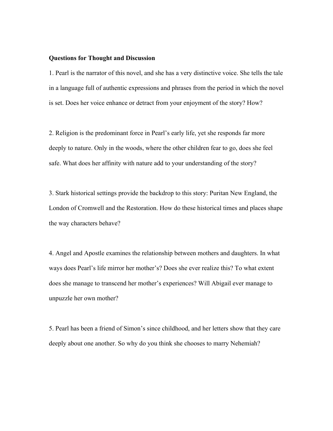#### **Questions for Thought and Discussion**

1. Pearl is the narrator of this novel, and she has a very distinctive voice. She tells the tale in a language full of authentic expressions and phrases from the period in which the novel is set. Does her voice enhance or detract from your enjoyment of the story? How?

2. Religion is the predominant force in Pearl's early life, yet she responds far more deeply to nature. Only in the woods, where the other children fear to go, does she feel safe. What does her affinity with nature add to your understanding of the story?

3. Stark historical settings provide the backdrop to this story: Puritan New England, the London of Cromwell and the Restoration. How do these historical times and places shape the way characters behave?

4. Angel and Apostle examines the relationship between mothers and daughters. In what ways does Pearl's life mirror her mother's? Does she ever realize this? To what extent does she manage to transcend her mother's experiences? Will Abigail ever manage to unpuzzle her own mother?

5. Pearl has been a friend of Simon's since childhood, and her letters show that they care deeply about one another. So why do you think she chooses to marry Nehemiah?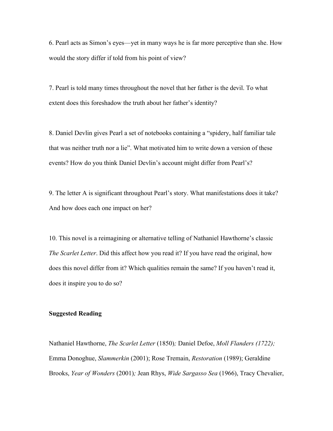6. Pearl acts as Simon's eyes—yet in many ways he is far more perceptive than she. How would the story differ if told from his point of view?

7. Pearl is told many times throughout the novel that her father is the devil. To what extent does this foreshadow the truth about her father's identity?

8. Daniel Devlin gives Pearl a set of notebooks containing a "spidery, half familiar tale that was neither truth nor a lie". What motivated him to write down a version of these events? How do you think Daniel Devlin's account might differ from Pearl's?

9. The letter A is significant throughout Pearl's story. What manifestations does it take? And how does each one impact on her?

10. This novel is a reimagining or alternative telling of Nathaniel Hawthorne's classic *The Scarlet Letter*. Did this affect how you read it? If you have read the original, how does this novel differ from it? Which qualities remain the same? If you haven't read it, does it inspire you to do so?

# **Suggested Reading**

Nathaniel Hawthorne, *The Scarlet Letter* (1850)*;* Daniel Defoe, *Moll Flanders (1722);* Emma Donoghue, *Slammerkin* (2001); Rose Tremain, *Restoration* (1989); Geraldine Brooks, *Year of Wonders* (2001)*;* Jean Rhys, *Wide Sargasso Sea* (1966), Tracy Chevalier,